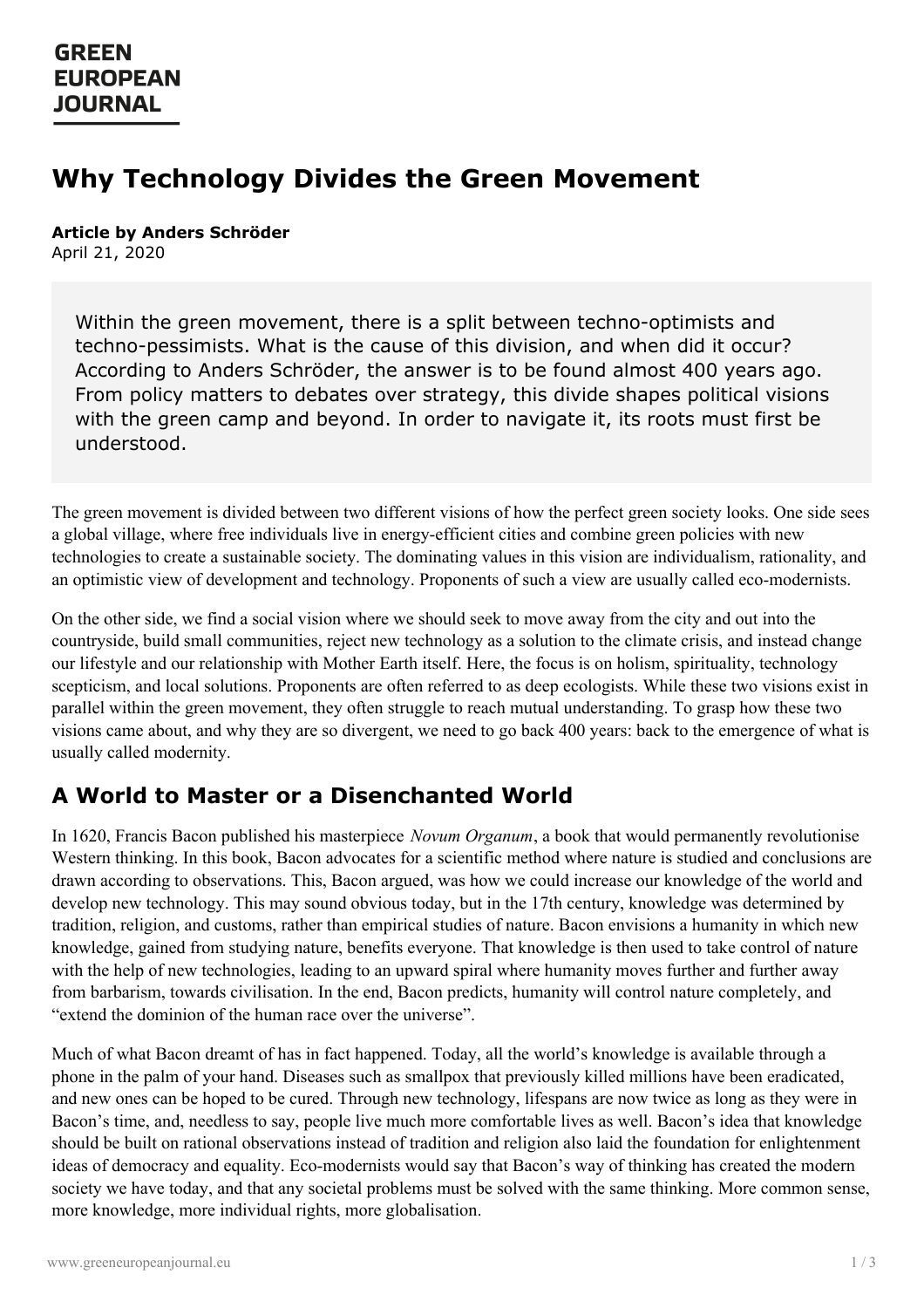## **GREEN EUROPEAN JOURNAL**

# **Why Technology Divides the Green Movement**

**Article by Anders Schröder** April 21, 2020

Within the green movement, there is a split between techno-optimists and techno-pessimists. What is the cause of this division, and when did it occur? According to Anders Schröder, the answer is to be found almost 400 years ago. From policy matters to debates over strategy, this divide shapes political visions with the green camp and beyond. In order to navigate it, its roots must first be understood.

The green movement is divided between two different visions of how the perfect green society looks. One side sees a global village, where free individuals live in energy-efficient cities and combine green policies with new technologies to create a sustainable society. The dominating values in this vision are individualism, rationality, and an optimistic view of development and technology. Proponents of such a view are usually called eco-modernists.

On the other side, we find a social vision where we should seek to move away from the city and out into the countryside, build small communities, reject new technology as a solution to the climate crisis, and instead change our lifestyle and our relationship with Mother Earth itself. Here, the focus is on holism, spirituality, technology scepticism, and local solutions. Proponents are often referred to as deep ecologists. While these two visions exist in parallel within the green movement, they often struggle to reach mutual understanding. To grasp how these two visions came about, and why they are so divergent, we need to go back 400 years: back to the emergence of what is usually called modernity.

## **A World to Master or a Disenchanted World**

In 1620, Francis Bacon published his masterpiece *Novum Organum*, a book that would permanently revolutionise Western thinking. In this book, Bacon advocates for a scientific method where nature is studied and conclusions are drawn according to observations. This, Bacon argued, was how we could increase our knowledge of the world and develop new technology. This may sound obvious today, but in the 17th century, knowledge was determined by tradition, religion, and customs, rather than empirical studies of nature. Bacon envisions a humanity in which new knowledge, gained from studying nature, benefits everyone. That knowledge is then used to take control of nature with the help of new technologies, leading to an upward spiral where humanity moves further and further away from barbarism, towards civilisation. In the end, Bacon predicts, humanity will control nature completely, and "extend the dominion of the human race over the universe".

Much of what Bacon dreamt of has in fact happened. Today, all the world's knowledge is available through a phone in the palm of your hand. Diseases such as smallpox that previously killed millions have been eradicated, and new [ones](https://www.greeneuropeanjournal.eu) can be hoped to be cured. Through new technology, lifespans are now twice as long as they were in Bacon's time, and, needless to say, people live much more comfortable lives as well. Bacon's idea that knowledge should be built on rational observations instead of tradition and religion also laid the foundation for enlightenment ideas of democracy and equality. Eco-modernists would say that Bacon's way of thinking has created the modern society we have today, and that any societal problems must be solved with the same thinking. More common sense, more knowledge, more individual rights, more globalisation.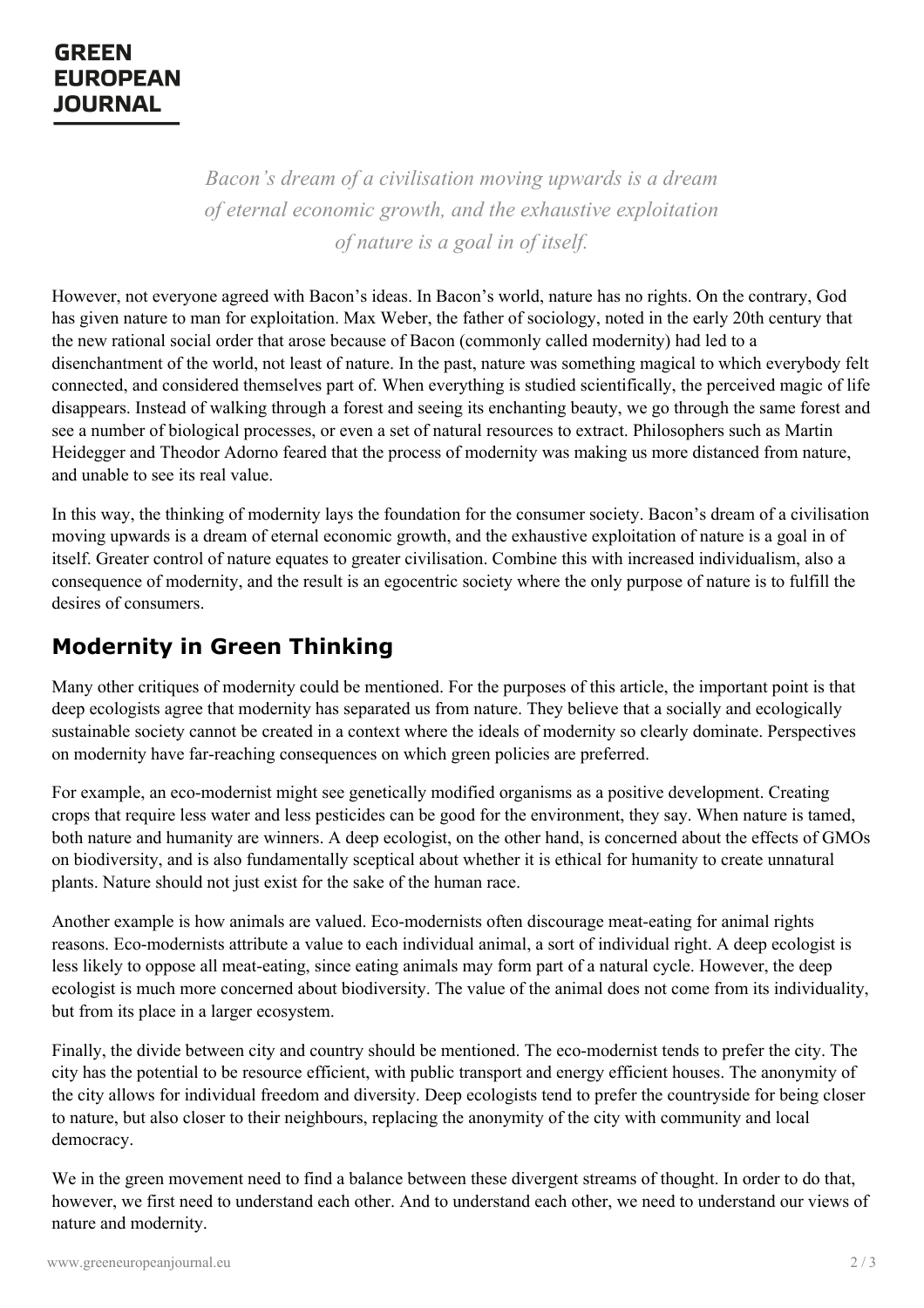# **EUROPEAN JOURNAL**

*Bacon's dream of a civilisation moving upwards is a dream of eternal economic growth, and the exhaustive exploitation of nature is a goal in of itself.*

However, not everyone agreed with Bacon's ideas. In Bacon's world, nature has no rights. On the contrary, God has given nature to man for exploitation. Max Weber, the father of sociology, noted in the early 20th century that the new rational social order that arose because of Bacon (commonly called modernity) had led to a disenchantment of the world, not least of nature. In the past, nature was something magical to which everybody felt connected, and considered themselves part of. When everything is studied scientifically, the perceived magic of life disappears. Instead of walking through a forest and seeing its enchanting beauty, we go through the same forest and see a number of biological processes, or even a set of natural resources to extract. Philosophers such as Martin Heidegger and Theodor Adorno feared that the process of modernity was making us more distanced from nature, and unable to see its real value.

In this way, the thinking of modernity lays the foundation for the consumer society. Bacon's dream of a civilisation moving upwards is a dream of eternal economic growth, and the exhaustive exploitation of nature is a goal in of itself. Greater control of nature equates to greater civilisation. Combine this with increased individualism, also a consequence of modernity, and the result is an egocentric society where the only purpose of nature is to fulfill the desires of consumers.

# **Modernity in Green Thinking**

Many other critiques of modernity could be mentioned. For the purposes of this article, the important point is that deep ecologists agree that modernity has separated us from nature. They believe that a socially and ecologically sustainable society cannot be created in a context where the ideals of modernity so clearly dominate. Perspectives on modernity have far-reaching consequences on which green policies are preferred.

For example, an eco-modernist might see genetically modified organisms as a positive development. Creating crops that require less water and less pesticides can be good for the environment, they say. When nature is tamed, both nature and humanity are winners. A deep ecologist, on the other hand, is concerned about the effects of GMOs on biodiversity, and is also fundamentally sceptical about whether it is ethical for humanity to create unnatural plants. Nature should not just exist for the sake of the human race.

Another example is how animals are valued. Eco-modernists often discourage meat-eating for animal rights reasons. Eco-modernists attribute a value to each individual animal, a sort of individual right. A deep ecologist is less likely to oppose all meat-eating, since eating animals may form part of a natural cycle. However, the deep ecologist is much more concerned about biodiversity. The value of the animal does not come from its individuality, but from its place in a larger ecosystem.

Finally, the divide between city and country should be mentioned. The eco-modernist tends to prefer the city. The city has the potential to be resource efficient, with public transport and energy efficient houses. The anonymity of the city [allows](https://www.greeneuropeanjournal.eu) for individual freedom and diversity. Deep ecologists tend to prefer the countryside for being closer to nature, but also closer to their neighbours, replacing the anonymity of the city with community and local democracy.

We in the green movement need to find a balance between these divergent streams of thought. In order to do that, however, we first need to understand each other. And to understand each other, we need to understand our views of nature and modernity.